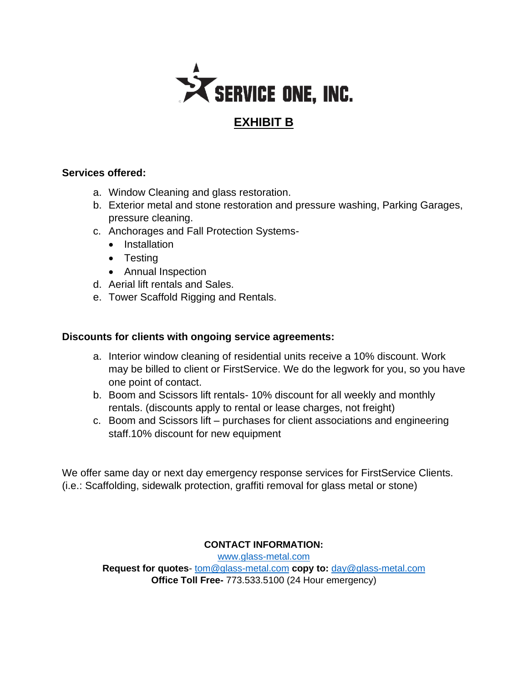

#### **EXHIBIT B**

#### **Services offered:**

- a. Window Cleaning and glass restoration.
- b. Exterior metal and stone restoration and pressure washing, Parking Garages, pressure cleaning.
- c. Anchorages and Fall Protection Systems-
	- Installation
	- Testing
	- Annual Inspection
- d. Aerial lift rentals and Sales.
- e. Tower Scaffold Rigging and Rentals.

#### **Discounts for clients with ongoing service agreements:**

- a. Interior window cleaning of residential units receive a 10% discount. Work may be billed to client or FirstService. We do the legwork for you, so you have one point of contact.
- b. Boom and Scissors lift rentals- 10% discount for all weekly and monthly rentals. (discounts apply to rental or lease charges, not freight)
- c. Boom and Scissors lift purchases for client associations and engineering staff.10% discount for new equipment

We offer same day or next day emergency response services for FirstService Clients. (i.e.: Scaffolding, sidewalk protection, graffiti removal for glass metal or stone)

**CONTACT INFORMATION:**

[www.glass-metal.com](http://www.glass-metal.com/) **Request for quotes**- [tom@glass-metal.com](mailto:tom@glass-metal.com) **copy to:** [day@glass-metal.com](mailto:day@glass-metal.com) **Office Toll Free-** 773.533.5100 (24 Hour emergency)